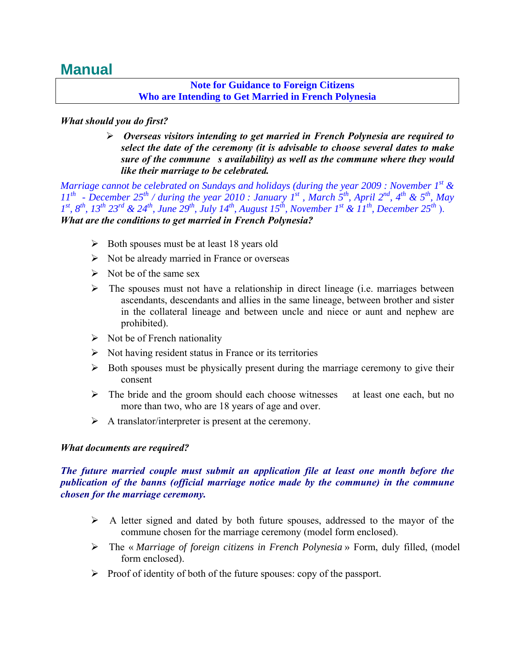# **Manual**

#### **Note for Guidance to Foreign Citizens Who are Intending to Get Married in French Polynesia**

## *What should you do first?*

 *Overseas visitors intending to get married in French Polynesia are required to select the date of the ceremony (it is advisable to choose several dates to make sure of the commune s availability) as well as the commune where they would like their marriage to be celebrated.* 

*Marriage cannot be celebrated on Sundays and holidays (during the year 2009 : November 1st & 11th - December 25th / during the year 2010 : January 1st , March 5th, April 2nd, 4th & 5th, May*   $1^{st}$ ,  $8^{th}$ ,  $13^{th}$   $23^{rd}$  &  $24^{th}$ , *June*  $29^{th}$ , *July 14<sup>th</sup>*, *August 15<sup>th</sup>*, *November*  $1^{st}$  &  $11^{th}$ , *December*  $25^{th}$ ). *What are the conditions to get married in French Polynesia?*

- $\triangleright$  Both spouses must be at least 18 years old
- $\triangleright$  Not be already married in France or overseas
- $\triangleright$  Not be of the same sex
- $\triangleright$  The spouses must not have a relationship in direct lineage (i.e. marriages between ascendants, descendants and allies in the same lineage, between brother and sister in the collateral lineage and between uncle and niece or aunt and nephew are prohibited).
- $\triangleright$  Not be of French nationality
- $\triangleright$  Not having resident status in France or its territories
- $\triangleright$  Both spouses must be physically present during the marriage ceremony to give their consent
- $\triangleright$  The bride and the groom should each choose witnesses at least one each, but no more than two, who are 18 years of age and over.
- $\triangleright$  A translator/interpreter is present at the ceremony.

## *What documents are required?*

## *The future married couple must submit an application file at least one month before the publication of the banns (official marriage notice made by the commune) in the commune chosen for the marriage ceremony.*

- $\triangleright$  A letter signed and dated by both future spouses, addressed to the mayor of the commune chosen for the marriage ceremony (model form enclosed).
- The « *Marriage of foreign citizens in French Polynesia* » Form, duly filled, (model form enclosed).
- $\triangleright$  Proof of identity of both of the future spouses: copy of the passport.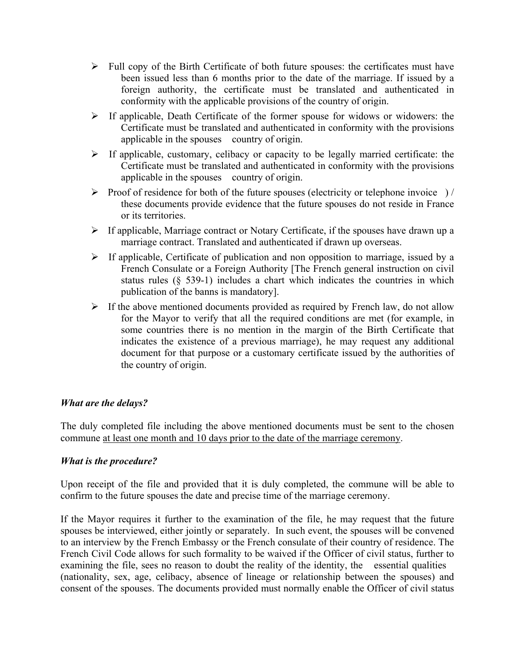- $\triangleright$  Full copy of the Birth Certificate of both future spouses: the certificates must have been issued less than 6 months prior to the date of the marriage. If issued by a foreign authority, the certificate must be translated and authenticated in conformity with the applicable provisions of the country of origin.
- $\triangleright$  If applicable, Death Certificate of the former spouse for widows or widowers: the Certificate must be translated and authenticated in conformity with the provisions applicable in the spouses country of origin.
- $\triangleright$  If applicable, customary, celibacy or capacity to be legally married certificate: the Certificate must be translated and authenticated in conformity with the provisions applicable in the spouses country of origin.
- $\triangleright$  Proof of residence for both of the future spouses (electricity or telephone invoice) / these documents provide evidence that the future spouses do not reside in France or its territories.
- $\triangleright$  If applicable, Marriage contract or Notary Certificate, if the spouses have drawn up a marriage contract. Translated and authenticated if drawn up overseas.
- $\triangleright$  If applicable, Certificate of publication and non opposition to marriage, issued by a French Consulate or a Foreign Authority [The French general instruction on civil status rules (§ 539-1) includes a chart which indicates the countries in which publication of the banns is mandatory].
- $\triangleright$  If the above mentioned documents provided as required by French law, do not allow for the Mayor to verify that all the required conditions are met (for example, in some countries there is no mention in the margin of the Birth Certificate that indicates the existence of a previous marriage), he may request any additional document for that purpose or a customary certificate issued by the authorities of the country of origin.

## *What are the delays?*

The duly completed file including the above mentioned documents must be sent to the chosen commune at least one month and 10 days prior to the date of the marriage ceremony.

## *What is the procedure?*

Upon receipt of the file and provided that it is duly completed, the commune will be able to confirm to the future spouses the date and precise time of the marriage ceremony.

If the Mayor requires it further to the examination of the file, he may request that the future spouses be interviewed, either jointly or separately. In such event, the spouses will be convened to an interview by the French Embassy or the French consulate of their country of residence. The French Civil Code allows for such formality to be waived if the Officer of civil status, further to examining the file, sees no reason to doubt the reality of the identity, the essential qualities (nationality, sex, age, celibacy, absence of lineage or relationship between the spouses) and consent of the spouses. The documents provided must normally enable the Officer of civil status